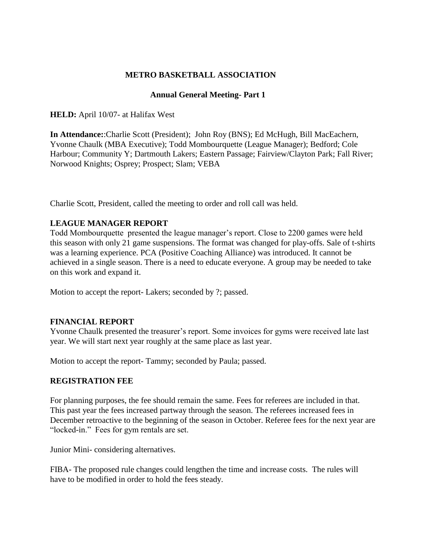# **METRO BASKETBALL ASSOCIATION**

## **Annual General Meeting- Part 1**

**HELD:** April 10/07- at Halifax West

**In Attendance:**:Charlie Scott (President); John Roy (BNS); Ed McHugh, Bill MacEachern, Yvonne Chaulk (MBA Executive); Todd Mombourquette (League Manager); Bedford; Cole Harbour; Community Y; Dartmouth Lakers; Eastern Passage; Fairview/Clayton Park; Fall River; Norwood Knights; Osprey; Prospect; Slam; VEBA

Charlie Scott, President, called the meeting to order and roll call was held.

## **LEAGUE MANAGER REPORT**

Todd Mombourquette presented the league manager's report. Close to 2200 games were held this season with only 21 game suspensions. The format was changed for play-offs. Sale of t-shirts was a learning experience. PCA (Positive Coaching Alliance) was introduced. It cannot be achieved in a single season. There is a need to educate everyone. A group may be needed to take on this work and expand it.

Motion to accept the report- Lakers; seconded by ?; passed.

### **FINANCIAL REPORT**

Yvonne Chaulk presented the treasurer's report. Some invoices for gyms were received late last year. We will start next year roughly at the same place as last year.

Motion to accept the report- Tammy; seconded by Paula; passed.

### **REGISTRATION FEE**

For planning purposes, the fee should remain the same. Fees for referees are included in that. This past year the fees increased partway through the season. The referees increased fees in December retroactive to the beginning of the season in October. Referee fees for the next year are "locked-in." Fees for gym rentals are set.

Junior Mini- considering alternatives.

FIBA- The proposed rule changes could lengthen the time and increase costs. The rules will have to be modified in order to hold the fees steady.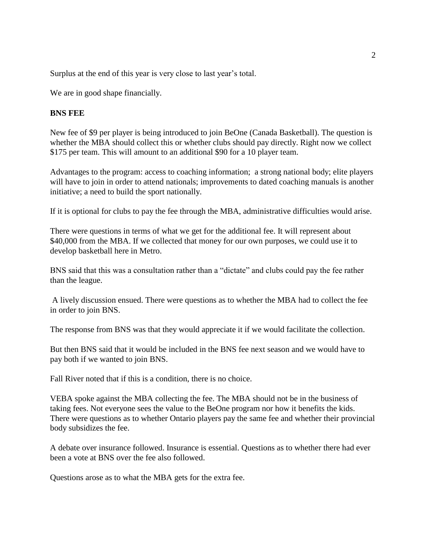Surplus at the end of this year is very close to last year's total.

We are in good shape financially.

#### **BNS FEE**

New fee of \$9 per player is being introduced to join BeOne (Canada Basketball). The question is whether the MBA should collect this or whether clubs should pay directly. Right now we collect \$175 per team. This will amount to an additional \$90 for a 10 player team.

Advantages to the program: access to coaching information; a strong national body; elite players will have to join in order to attend nationals; improvements to dated coaching manuals is another initiative; a need to build the sport nationally.

If it is optional for clubs to pay the fee through the MBA, administrative difficulties would arise.

There were questions in terms of what we get for the additional fee. It will represent about \$40,000 from the MBA. If we collected that money for our own purposes, we could use it to develop basketball here in Metro.

BNS said that this was a consultation rather than a "dictate" and clubs could pay the fee rather than the league.

A lively discussion ensued. There were questions as to whether the MBA had to collect the fee in order to join BNS.

The response from BNS was that they would appreciate it if we would facilitate the collection.

But then BNS said that it would be included in the BNS fee next season and we would have to pay both if we wanted to join BNS.

Fall River noted that if this is a condition, there is no choice.

VEBA spoke against the MBA collecting the fee. The MBA should not be in the business of taking fees. Not everyone sees the value to the BeOne program nor how it benefits the kids. There were questions as to whether Ontario players pay the same fee and whether their provincial body subsidizes the fee.

A debate over insurance followed. Insurance is essential. Questions as to whether there had ever been a vote at BNS over the fee also followed.

Questions arose as to what the MBA gets for the extra fee.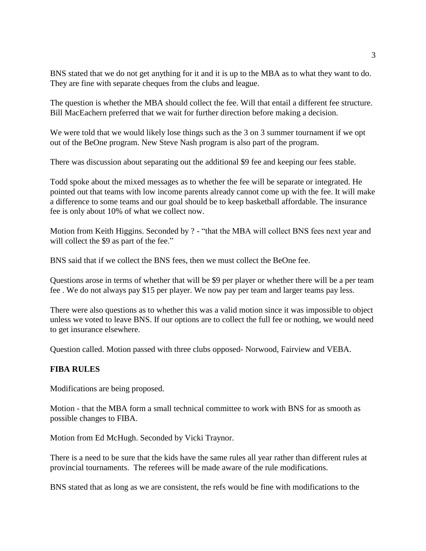BNS stated that we do not get anything for it and it is up to the MBA as to what they want to do. They are fine with separate cheques from the clubs and league.

The question is whether the MBA should collect the fee. Will that entail a different fee structure. Bill MacEachern preferred that we wait for further direction before making a decision.

We were told that we would likely lose things such as the 3 on 3 summer tournament if we opt out of the BeOne program. New Steve Nash program is also part of the program.

There was discussion about separating out the additional \$9 fee and keeping our fees stable.

Todd spoke about the mixed messages as to whether the fee will be separate or integrated. He pointed out that teams with low income parents already cannot come up with the fee. It will make a difference to some teams and our goal should be to keep basketball affordable. The insurance fee is only about 10% of what we collect now.

Motion from Keith Higgins. Seconded by ? - "that the MBA will collect BNS fees next year and will collect the \$9 as part of the fee."

BNS said that if we collect the BNS fees, then we must collect the BeOne fee.

Questions arose in terms of whether that will be \$9 per player or whether there will be a per team fee . We do not always pay \$15 per player. We now pay per team and larger teams pay less.

There were also questions as to whether this was a valid motion since it was impossible to object unless we voted to leave BNS. If our options are to collect the full fee or nothing, we would need to get insurance elsewhere.

Question called. Motion passed with three clubs opposed- Norwood, Fairview and VEBA.

### **FIBA RULES**

Modifications are being proposed.

Motion - that the MBA form a small technical committee to work with BNS for as smooth as possible changes to FIBA.

Motion from Ed McHugh. Seconded by Vicki Traynor.

There is a need to be sure that the kids have the same rules all year rather than different rules at provincial tournaments. The referees will be made aware of the rule modifications.

BNS stated that as long as we are consistent, the refs would be fine with modifications to the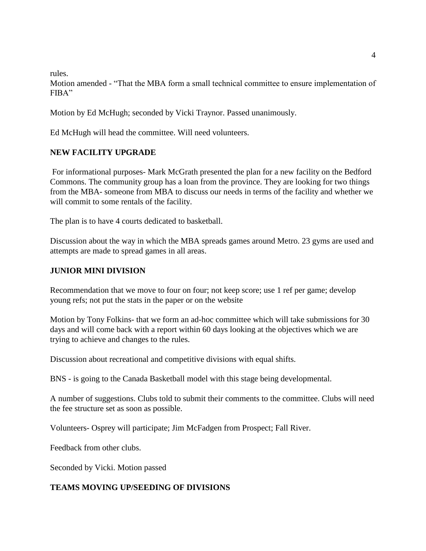rules.

Motion amended - "That the MBA form a small technical committee to ensure implementation of FIBA"

Motion by Ed McHugh; seconded by Vicki Traynor. Passed unanimously.

Ed McHugh will head the committee. Will need volunteers.

### **NEW FACILITY UPGRADE**

For informational purposes- Mark McGrath presented the plan for a new facility on the Bedford Commons. The community group has a loan from the province. They are looking for two things from the MBA- someone from MBA to discuss our needs in terms of the facility and whether we will commit to some rentals of the facility.

The plan is to have 4 courts dedicated to basketball.

Discussion about the way in which the MBA spreads games around Metro. 23 gyms are used and attempts are made to spread games in all areas.

### **JUNIOR MINI DIVISION**

Recommendation that we move to four on four; not keep score; use 1 ref per game; develop young refs; not put the stats in the paper or on the website

Motion by Tony Folkins- that we form an ad-hoc committee which will take submissions for 30 days and will come back with a report within 60 days looking at the objectives which we are trying to achieve and changes to the rules.

Discussion about recreational and competitive divisions with equal shifts.

BNS - is going to the Canada Basketball model with this stage being developmental.

A number of suggestions. Clubs told to submit their comments to the committee. Clubs will need the fee structure set as soon as possible.

Volunteers- Osprey will participate; Jim McFadgen from Prospect; Fall River.

Feedback from other clubs.

Seconded by Vicki. Motion passed

### **TEAMS MOVING UP/SEEDING OF DIVISIONS**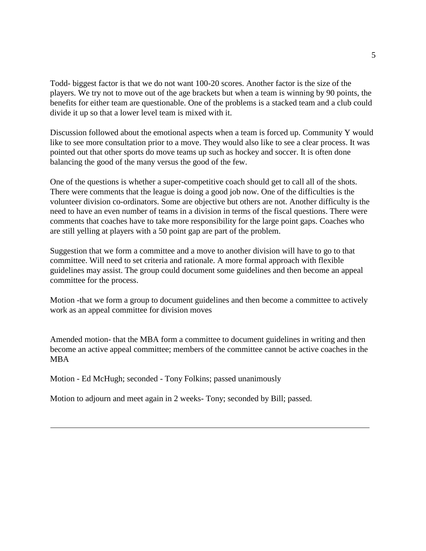Todd- biggest factor is that we do not want 100-20 scores. Another factor is the size of the players. We try not to move out of the age brackets but when a team is winning by 90 points, the benefits for either team are questionable. One of the problems is a stacked team and a club could divide it up so that a lower level team is mixed with it.

Discussion followed about the emotional aspects when a team is forced up. Community Y would like to see more consultation prior to a move. They would also like to see a clear process. It was pointed out that other sports do move teams up such as hockey and soccer. It is often done balancing the good of the many versus the good of the few.

One of the questions is whether a super-competitive coach should get to call all of the shots. There were comments that the league is doing a good job now. One of the difficulties is the volunteer division co-ordinators. Some are objective but others are not. Another difficulty is the need to have an even number of teams in a division in terms of the fiscal questions. There were comments that coaches have to take more responsibility for the large point gaps. Coaches who are still yelling at players with a 50 point gap are part of the problem.

Suggestion that we form a committee and a move to another division will have to go to that committee. Will need to set criteria and rationale. A more formal approach with flexible guidelines may assist. The group could document some guidelines and then become an appeal committee for the process.

Motion -that we form a group to document guidelines and then become a committee to actively work as an appeal committee for division moves

Amended motion- that the MBA form a committee to document guidelines in writing and then become an active appeal committee; members of the committee cannot be active coaches in the MBA

Motion - Ed McHugh; seconded - Tony Folkins; passed unanimously

Motion to adjourn and meet again in 2 weeks- Tony; seconded by Bill; passed.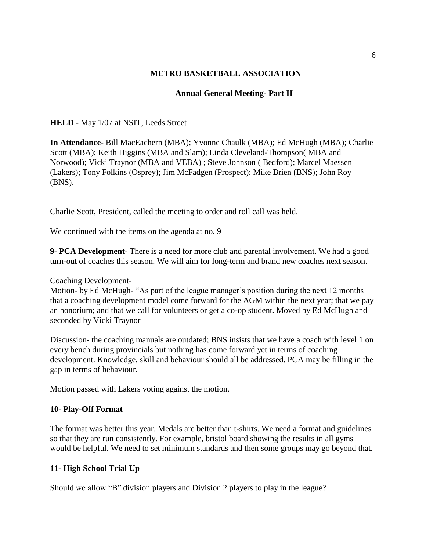### **METRO BASKETBALL ASSOCIATION**

# **Annual General Meeting- Part II**

**HELD** - May 1/07 at NSIT, Leeds Street

**In Attendance**- Bill MacEachern (MBA); Yvonne Chaulk (MBA); Ed McHugh (MBA); Charlie Scott (MBA); Keith Higgins (MBA and Slam); Linda Cleveland-Thompson( MBA and Norwood); Vicki Traynor (MBA and VEBA) ; Steve Johnson ( Bedford); Marcel Maessen (Lakers); Tony Folkins (Osprey); Jim McFadgen (Prospect); Mike Brien (BNS); John Roy (BNS).

Charlie Scott, President, called the meeting to order and roll call was held.

We continued with the items on the agenda at no. 9

**9- PCA Development**- There is a need for more club and parental involvement. We had a good turn-out of coaches this season. We will aim for long-term and brand new coaches next season.

Coaching Development-

Motion- by Ed McHugh- "As part of the league manager's position during the next 12 months that a coaching development model come forward for the AGM within the next year; that we pay an honorium; and that we call for volunteers or get a co-op student. Moved by Ed McHugh and seconded by Vicki Traynor

Discussion- the coaching manuals are outdated; BNS insists that we have a coach with level 1 on every bench during provincials but nothing has come forward yet in terms of coaching development. Knowledge, skill and behaviour should all be addressed. PCA may be filling in the gap in terms of behaviour.

Motion passed with Lakers voting against the motion.

### **10- Play-Off Format**

The format was better this year. Medals are better than t-shirts. We need a format and guidelines so that they are run consistently. For example, bristol board showing the results in all gyms would be helpful. We need to set minimum standards and then some groups may go beyond that.

### **11- High School Trial Up**

Should we allow "B" division players and Division 2 players to play in the league?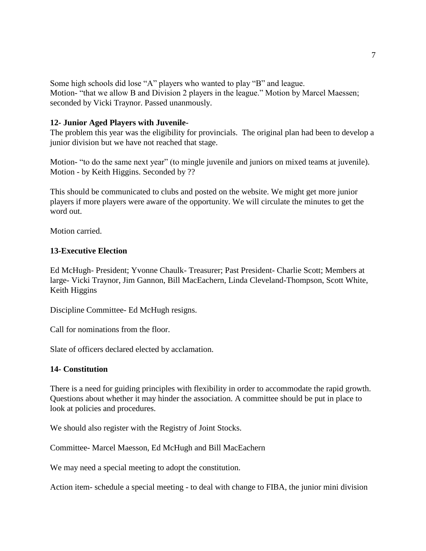Some high schools did lose "A" players who wanted to play "B" and league. Motion- "that we allow B and Division 2 players in the league." Motion by Marcel Maessen; seconded by Vicki Traynor. Passed unanmously.

#### **12- Junior Aged Players with Juvenile-**

The problem this year was the eligibility for provincials. The original plan had been to develop a junior division but we have not reached that stage.

Motion- "to do the same next year" (to mingle juvenile and juniors on mixed teams at juvenile). Motion - by Keith Higgins. Seconded by ??

This should be communicated to clubs and posted on the website. We might get more junior players if more players were aware of the opportunity. We will circulate the minutes to get the word out.

Motion carried.

#### **13-Executive Election**

Ed McHugh- President; Yvonne Chaulk- Treasurer; Past President- Charlie Scott; Members at large- Vicki Traynor, Jim Gannon, Bill MacEachern, Linda Cleveland-Thompson, Scott White, Keith Higgins

Discipline Committee- Ed McHugh resigns.

Call for nominations from the floor.

Slate of officers declared elected by acclamation.

#### **14- Constitution**

There is a need for guiding principles with flexibility in order to accommodate the rapid growth. Questions about whether it may hinder the association. A committee should be put in place to look at policies and procedures.

We should also register with the Registry of Joint Stocks.

Committee- Marcel Maesson, Ed McHugh and Bill MacEachern

We may need a special meeting to adopt the constitution.

Action item- schedule a special meeting - to deal with change to FIBA, the junior mini division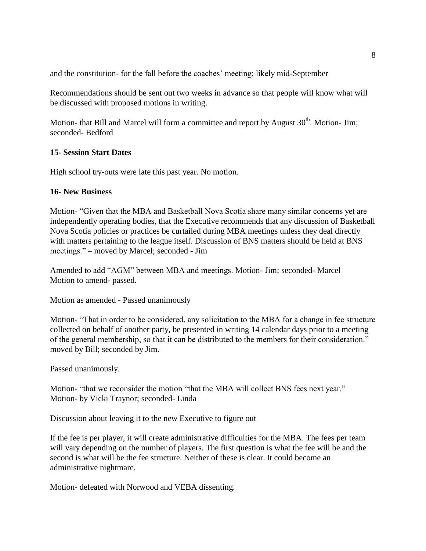and the constitution- for the fall before the coaches' meeting; likely mid-September

Recommendations should be sent out two weeks in advance so that people will know what will be discussed with proposed motions in writing.

Motion- that Bill and Marcel will form a committee and report by August  $30<sup>th</sup>$ . Motion- Jim: seconded- Bedford

### **15- Session Start Dates**

High school try-outs were late this past year. No motion.

# **16- New Business**

Motion- "Given that the MBA and Basketball Nova Scotia share many similar concerns yet are independently operating bodies, that the Executive recommends that any discussion of Basketball Nova Scotia policies or practices be curtailed during MBA meetings unless they deal directly with matters pertaining to the league itself. Discussion of BNS matters should be held at BNS meetings." – moved by Marcel; seconded - Jim

Amended to add "AGM" between MBA and meetings. Motion- Jim; seconded- Marcel Motion to amend- passed.

Motion as amended - Passed unanimously

Motion- "That in order to be considered, any solicitation to the MBA for a change in fee structure collected on behalf of another party, be presented in writing 14 calendar days prior to a meeting of the general membership, so that it can be distributed to the members for their consideration." – moved by Bill; seconded by Jim.

Passed unanimously.

Motion- "that we reconsider the motion "that the MBA will collect BNS fees next year." Motion- by Vicki Traynor; seconded- Linda

Discussion about leaving it to the new Executive to figure out

If the fee is per player, it will create administrative difficulties for the MBA. The fees per team will vary depending on the number of players. The first question is what the fee will be and the second is what will be the fee structure. Neither of these is clear. It could become an administrative nightmare.

Motion- defeated with Norwood and VEBA dissenting.